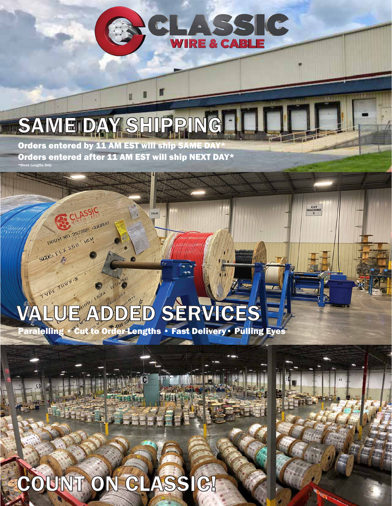

**CUT**<br>MACHINE

4|

## SAME DAY SHIPPING Orders entered by 11 AM EST will ship SAME DAY\*

Orders entered after 11 AM EST will ship NEXT DAY\* \*Stock Lengths Only

CLASSIC

DRUM NO 20280FLessees

SIZE: 16.7.350 way

## TYPE THINK-2 1524 VALUE ADDED SERVICES

IC

**Paralelling • Cut to Order Lengths • Fast Delivery • Pulling Eyes** 

COILER

# COUNT ON CLASSIC!